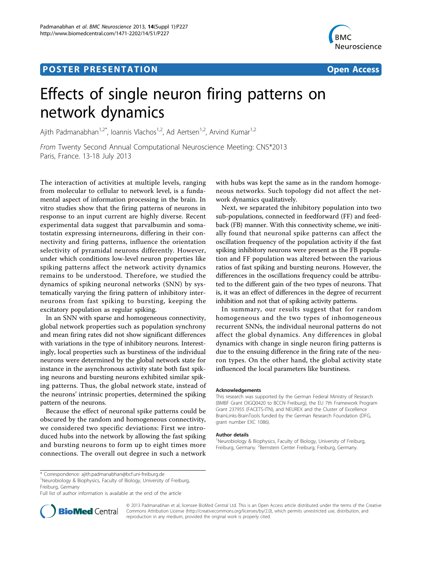## **POSTER PRESENTATION CONSUMING THE SERVICE SERVICE SERVICES**



# Effects of single neuron firing patterns on network dynamics

Ajith Padmanabhan<sup>1,2\*</sup>, Ioannis Vlachos<sup>1,2</sup>, Ad Aertsen<sup>1,2</sup>, Arvind Kumar<sup>1,2</sup>

From Twenty Second Annual Computational Neuroscience Meeting: CNS\*2013 Paris, France. 13-18 July 2013

The interaction of activities at multiple levels, ranging from molecular to cellular to network level, is a fundamental aspect of information processing in the brain. In vitro studies show that the firing patterns of neurons in response to an input current are highly diverse. Recent experimental data suggest that parvalbumin and somatostatin expressing interneurons, differing in their connectivity and firing patterns, influence the orientation selectivity of pyramidal neurons differently. However, under which conditions low-level neuron properties like spiking patterns affect the network activity dynamics remains to be understood. Therefore, we studied the dynamics of spiking neuronal networks (SNN) by systematically varying the firing pattern of inhibitory interneurons from fast spiking to bursting, keeping the excitatory population as regular spiking.

In an SNN with sparse and homogeneous connectivity, global network properties such as population synchrony and mean firing rates did not show significant differences with variations in the type of inhibitory neurons. Interestingly, local properties such as burstiness of the individual neurons were determined by the global network state for instance in the asynchronous activity state both fast spiking neurons and bursting neurons exhibited similar spiking patterns. Thus, the global network state, instead of the neurons' intrinsic properties, determined the spiking pattern of the neurons.

Because the effect of neuronal spike patterns could be obscured by the random and homogeneous connectivity, we considered two specific deviations: First we introduced hubs into the network by allowing the fast spiking and bursting neurons to form up to eight times more connections. The overall out degree in such a network

with hubs was kept the same as in the random homogeneous networks. Such topology did not affect the network dynamics qualitatively.

Next, we separated the inhibitory population into two sub-populations, connected in feedforward (FF) and feedback (FB) manner. With this connectivity scheme, we initially found that neuronal spike patterns can affect the oscillation frequency of the population activity if the fast spiking inhibitory neurons were present as the FB population and FF population was altered between the various ratios of fast spiking and bursting neurons. However, the differences in the oscillations frequency could be attributed to the different gain of the two types of neurons. That is, it was an effect of differences in the degree of recurrent inhibition and not that of spiking activity patterns.

In summary, our results suggest that for random homogeneous and the two types of inhomogeneous recurrent SNNs, the individual neuronal patterns do not affect the global dynamics. Any differences in global dynamics with change in single neuron firing patterns is due to the ensuing difference in the firing rate of the neuron types. On the other hand, the global activity state influenced the local parameters like burstiness.

#### Acknowledgements

This research was supported by the German Federal Ministry of Research (BMBF Grant OIGQ0420 to BCCN Freiburg), the EU 7th Framework Program Grant 237955 (FACETS-ITN), and NEUREX and the Cluster of Excellence BrainLinks-BrainTools funded by the German Research Foundation (DFG, grant number EXC 1086).

#### Author details

<sup>1</sup>Neurobiology & Biophysics, Faculty of Biology, University of Freiburg, Freiburg, Germany. <sup>2</sup>Bernstein Center Freiburg, Freiburg, Germany

<sup>1</sup>Neurobiology & Biophysics, Faculty of Biology, University of Freiburg, Freiburg, Germany

Full list of author information is available at the end of the article



© 2013 Padmanabhan et al; licensee BioMed Central Ltd. This is an Open Access article distributed under the terms of the Creative Commons Attribution License [\(http://creativecommons.org/licenses/by/2.0](http://creativecommons.org/licenses/by/2.0)), which permits unrestricted use, distribution, and reproduction in any medium, provided the original work is properly cited.

<sup>\*</sup> Correspondence: [ajith.padmanabhan@bcf.uni-freiburg.de](mailto:ajith.padmanabhan@bcf.uni-freiburg.de)